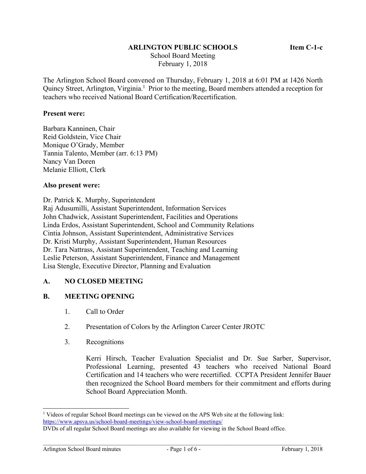### **ARLINGTON PUBLIC SCHOOLS Item C-1-c**

 School Board Meeting February 1, 2018

The Arlington School Board convened on Thursday, February 1, 2018 at 6:01 PM at 1426 North Quincy Street, Arlington, Virginia.<sup>1</sup> Prior to the meeting, Board members attended a reception for teachers who received National Board Certification/Recertification.

#### **Present were:**

Barbara Kanninen, Chair Reid Goldstein, Vice Chair Monique O'Grady, Member Tannia Talento, Member (arr. 6:13 PM) Nancy Van Doren Melanie Elliott, Clerk

#### **Also present were:**

Dr. Patrick K. Murphy, Superintendent

Raj Adusumilli, Assistant Superintendent, Information Services John Chadwick, Assistant Superintendent, Facilities and Operations Linda Erdos, Assistant Superintendent, School and Community Relations Cintia Johnson, Assistant Superintendent, Administrative Services Dr. Kristi Murphy, Assistant Superintendent, Human Resources Dr. Tara Nattrass, Assistant Superintendent, Teaching and Learning Leslie Peterson, Assistant Superintendent, Finance and Management Lisa Stengle, Executive Director, Planning and Evaluation

### **A. NO CLOSED MEETING**

### **B. MEETING OPENING**

- 1. Call to Order
- 2. Presentation of Colors by the Arlington Career Center JROTC
- 3. Recognitions

Kerri Hirsch, Teacher Evaluation Specialist and Dr. Sue Sarber, Supervisor, Professional Learning, presented 43 teachers who received National Board Certification and 14 teachers who were recertified. CCPTA President Jennifer Bauer then recognized the School Board members for their commitment and efforts during School Board Appreciation Month.

l <sup>1</sup> Videos of regular School Board meetings can be viewed on the APS Web site at the following link: https://www.apsva.us/school-board-meetings/view-school-board-meetings/

DVDs of all regular School Board meetings are also available for viewing in the School Board office.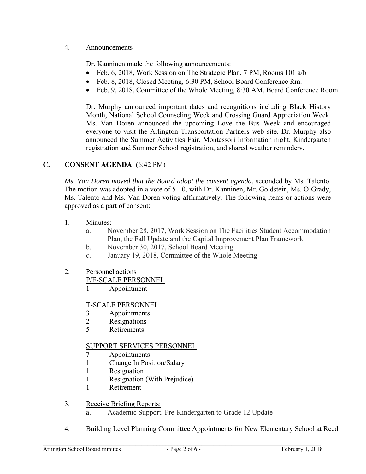# 4. Announcements

Dr. Kanninen made the following announcements:

- Feb. 6, 2018, Work Session on The Strategic Plan, 7 PM, Rooms 101 a/b
- Feb. 8, 2018, Closed Meeting, 6:30 PM, School Board Conference Rm.
- Feb. 9, 2018, Committee of the Whole Meeting, 8:30 AM, Board Conference Room

Dr. Murphy announced important dates and recognitions including Black History Month, National School Counseling Week and Crossing Guard Appreciation Week. Ms. Van Doren announced the upcoming Love the Bus Week and encouraged everyone to visit the Arlington Transportation Partners web site. Dr. Murphy also announced the Summer Activities Fair, Montessori Information night, Kindergarten registration and Summer School registration, and shared weather reminders.

# **C. CONSENT AGENDA**: (6:42 PM)

*Ms. Van Doren moved that the Board adopt the consent agenda*, seconded by Ms. Talento. The motion was adopted in a vote of 5 - 0, with Dr. Kanninen, Mr. Goldstein, Ms. O'Grady, Ms. Talento and Ms. Van Doren voting affirmatively. The following items or actions were approved as a part of consent:

- 1. Minutes:
	- a. November 28, 2017, Work Session on The Facilities Student Accommodation Plan, the Fall Update and the Capital Improvement Plan Framework
	- b. November 30, 2017, School Board Meeting
	- c. January 19, 2018, Committee of the Whole Meeting

### 2. Personnel actions

P/E-SCALE PERSONNEL

1 Appointment

### T-SCALE PERSONNEL

- 3 Appointments
- 2 Resignations
- 5 Retirements

### SUPPORT SERVICES PERSONNEL

- 7 Appointments
- 1 Change In Position/Salary
- 1 Resignation
- 1 Resignation (With Prejudice)
- 1 Retirement

# 3. Receive Briefing Reports:

- a. Academic Support, Pre-Kindergarten to Grade 12 Update
- 4. Building Level Planning Committee Appointments for New Elementary School at Reed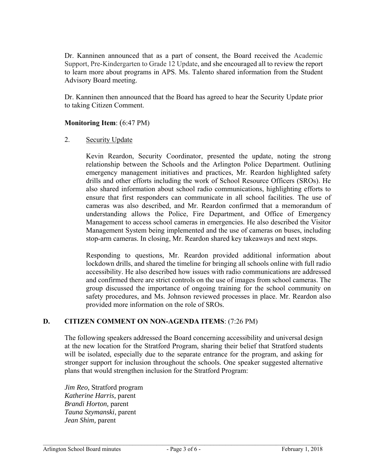Dr. Kanninen announced that as a part of consent, the Board received the Academic Support, Pre-Kindergarten to Grade 12 Update, and she encouraged all to review the report to learn more about programs in APS. Ms. Talento shared information from the Student Advisory Board meeting.

Dr. Kanninen then announced that the Board has agreed to hear the Security Update prior to taking Citizen Comment.

### **Monitoring Item**: (6:47 PM)

2. Security Update

Kevin Reardon, Security Coordinator, presented the update, noting the strong relationship between the Schools and the Arlington Police Department. Outlining emergency management initiatives and practices, Mr. Reardon highlighted safety drills and other efforts including the work of School Resource Officers (SROs). He also shared information about school radio communications, highlighting efforts to ensure that first responders can communicate in all school facilities. The use of cameras was also described, and Mr. Reardon confirmed that a memorandum of understanding allows the Police, Fire Department, and Office of Emergency Management to access school cameras in emergencies. He also described the Visitor Management System being implemented and the use of cameras on buses, including stop-arm cameras. In closing, Mr. Reardon shared key takeaways and next steps.

Responding to questions, Mr. Reardon provided additional information about lockdown drills, and shared the timeline for bringing all schools online with full radio accessibility. He also described how issues with radio communications are addressed and confirmed there are strict controls on the use of images from school cameras. The group discussed the importance of ongoing training for the school community on safety procedures, and Ms. Johnson reviewed processes in place. Mr. Reardon also provided more information on the role of SROs.

# **D. CITIZEN COMMENT ON NON-AGENDA ITEMS**: (7:26 PM)

The following speakers addressed the Board concerning accessibility and universal design at the new location for the Stratford Program, sharing their belief that Stratford students will be isolated, especially due to the separate entrance for the program, and asking for stronger support for inclusion throughout the schools. One speaker suggested alternative plans that would strengthen inclusion for the Stratford Program:

*Jim Reo,* Stratford program *Katherine Harris,* parent *Brandi Horton,* parent *Tauna Szymanski*, parent *Jean Shim,* parent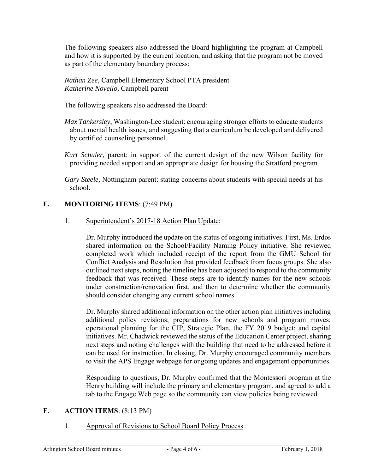The following speakers also addressed the Board highlighting the program at Campbell and how it is supported by the current location, and asking that the program not be moved as part of the elementary boundary process:

*Nathan Zee,* Campbell Elementary School PTA president *Katherine Novello,* Campbell parent

The following speakers also addressed the Board:

- *Max Tankersley*, Washington-Lee student: encouraging stronger efforts to educate students about mental health issues, and suggesting that a curriculum be developed and delivered by certified counseling personnel.
- *Kurt Schuler,* parent: in support of the current design of the new Wilson facility for providing needed support and an appropriate design for housing the Stratford program.

*Gary Steele,* Nottingham parent: stating concerns about students with special needs at his school.

# **E. MONITORING ITEMS**: (7:49 PM)

### 1. Superintendent's 2017-18 Action Plan Update:

Dr. Murphy introduced the update on the status of ongoing initiatives. First, Ms. Erdos shared information on the School/Facility Naming Policy initiative. She reviewed completed work which included receipt of the report from the GMU School for Conflict Analysis and Resolution that provided feedback from focus groups. She also outlined next steps, noting the timeline has been adjusted to respond to the community feedback that was received. These steps are to identify names for the new schools under construction/renovation first, and then to determine whether the community should consider changing any current school names.

Dr. Murphy shared additional information on the other action plan initiatives including additional policy revisions; preparations for new schools and program moves; operational planning for the CIP, Strategic Plan, the FY 2019 budget; and capital initiatives. Mr. Chadwick reviewed the status of the Education Center project, sharing next steps and noting challenges with the building that need to be addressed before it can be used for instruction. In closing, Dr. Murphy encouraged community members to visit the APS Engage webpage for ongoing updates and engagement opportunities.

Responding to questions, Dr. Murphy confirmed that the Montessori program at the Henry building will include the primary and elementary program, and agreed to add a tab to the Engage Web page so the community can view policies being reviewed.

### **F. ACTION ITEMS**: (8:13 PM)

1. Approval of Revisions to School Board Policy Process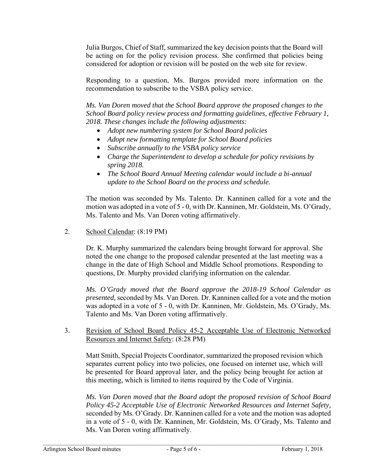Julia Burgos, Chief of Staff, summarized the key decision points that the Board will be acting on for the policy revision process. She confirmed that policies being considered for adoption or revision will be posted on the web site for review.

Responding to a question, Ms. Burgos provided more information on the recommendation to subscribe to the VSBA policy service.

*Ms. Van Doren moved that the School Board approve the proposed changes to the School Board policy review process and formatting guidelines, effective February 1, 2018. These changes include the following adjustments:* 

- *Adopt new numbering system for School Board policies*
- *Adopt new formatting template for School Board policies*
- *Subscribe annually to the VSBA policy service*
- *Charge the Superintendent to develop a schedule for policy revisions by spring 2018.*
- *The School Board Annual Meeting calendar would include a bi-annual update to the School Board on the process and schedule.*

The motion was seconded by Ms. Talento. Dr. Kanninen called for a vote and the motion was adopted in a vote of 5 - 0, with Dr. Kanninen, Mr. Goldstein, Ms. O'Grady, Ms. Talento and Ms. Van Doren voting affirmatively.

2. School Calendar: (8:19 PM)

Dr. K. Murphy summarized the calendars being brought forward for approval. She noted the one change to the proposed calendar presented at the last meeting was a change in the date of High School and Middle School promotions. Responding to questions, Dr. Murphy provided clarifying information on the calendar.

*Ms. O'Grady moved that the Board approve the 2018-19 School Calendar as presented,* seconded by Ms. Van Doren. Dr. Kanninen called for a vote and the motion was adopted in a vote of 5 - 0, with Dr. Kanninen, Mr. Goldstein, Ms. O'Grady, Ms. Talento and Ms. Van Doren voting affirmatively.

3. Revision of School Board Policy 45-2 Acceptable Use of Electronic Networked Resources and Internet Safety: (8:28 PM)

Matt Smith, Special Projects Coordinator, summarized the proposed revision which separates current policy into two policies, one focused on internet use, which will be presented for Board approval later, and the policy being brought for action at this meeting, which is limited to items required by the Code of Virginia.

*Ms. Van Doren moved that the Board adopt the proposed revision of School Board Policy 45-2 Acceptable Use of Electronic Networked Resources and Internet Safety,*  seconded by Ms. O'Grady. Dr. Kanninen called for a vote and the motion was adopted in a vote of 5 - 0, with Dr. Kanninen, Mr. Goldstein, Ms. O'Grady, Ms. Talento and Ms. Van Doren voting affirmatively.